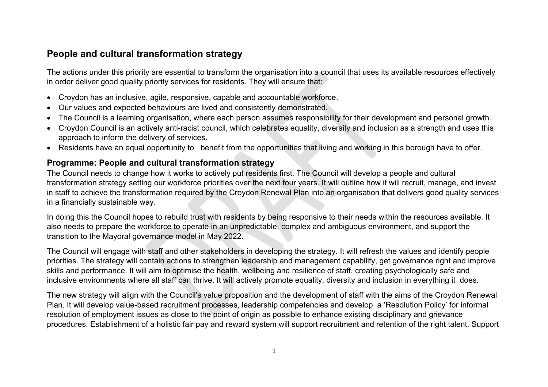## **People and cultural transformation strategy**

The actions under this priority are essential to transform the organisation into a council that uses its available resources effectively in order deliver good quality priority services for residents. They will ensure that:

- Croydon has an inclusive, agile, responsive, capable and accountable workforce.
- Our values and expected behaviours are lived and consistently demonstrated.
- The Council is a learning organisation, where each person assumes responsibility for their development and personal growth.
- Croydon Council is an actively anti-racist council, which celebrates equality, diversity and inclusion as a strength and uses this approach to inform the delivery of services.
- Residents have an equal opportunity to benefit from the opportunities that living and working in this borough have to offer.

## **Programme: People and cultural transformation strategy**

The Council needs to change how it works to actively put residents first. The Council will develop a people and cultural transformation strategy setting our workforce priorities over the next four years. It will outline how it will recruit, manage, and invest in staff to achieve the transformation required by the Croydon Renewal Plan into an organisation that delivers good quality services in a financially sustainable way.

In doing this the Council hopes to rebuild trust with residents by being responsive to their needs within the resources available. It also needs to prepare the workforce to operate in an unpredictable, complex and ambiguous environment, and support the transition to the Mayoral governance model in May 2022.

The Council will engage with staff and other stakeholders in developing the strategy. It will refresh the values and identify people priorities. The strategy will contain actions to strengthen leadership and management capability, get governance right and improve skills and performance. It will aim to optimise the health, wellbeing and resilience of staff, creating psychologically safe and inclusive environments where all staff can thrive. It will actively promote equality, diversity and inclusion in everything it does.

The new strategy will align with the Council's value proposition and the development of staff with the aims of the Croydon Renewal Plan. It will develop value-based recruitment processes, leadership competencies and develop a 'Resolution Policy' for informal resolution of employment issues as close to the point of origin as possible to enhance existing disciplinary and grievance procedures. Establishment of a holistic fair pay and reward system will support recruitment and retention of the right talent. Support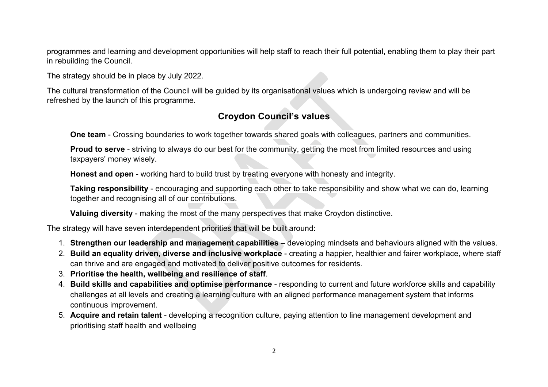programmes and learning and development opportunities will help staff to reach their full potential, enabling them to play their part in rebuilding the Council.

The strategy should be in place by July 2022.

The cultural transformation of the Council will be guided by its organisational values which is undergoing review and will be refreshed by the launch of this programme.

## **Croydon Council's values**

**One team** - Crossing boundaries to work together towards shared goals with colleagues, partners and communities.

**Proud to serve** - striving to always do our best for the community, getting the most from limited resources and using taxpayers' money wisely.

**Honest and open** - working hard to build trust by treating everyone with honesty and integrity.

**Taking responsibility** - encouraging and supporting each other to take responsibility and show what we can do, learning together and recognising all of our contributions.

**Valuing diversity** - making the most of the many perspectives that make Croydon distinctive.

The strategy will have seven interdependent priorities that will be built around:

- 1. **Strengthen our leadership and management capabilities** developing mindsets and behaviours aligned with the values.
- 2. **Build an equality driven, diverse and inclusive workplace** creating a happier, healthier and fairer workplace, where staff can thrive and are engaged and motivated to deliver positive outcomes for residents.
- 3. **Prioritise the health, wellbeing and resilience of staff**.
- 4. **Build skills and capabilities and optimise performance** responding to current and future workforce skills and capability challenges at all levels and creating a learning culture with an aligned performance management system that informs continuous improvement.
- 5. **Acquire and retain talent** developing a recognition culture, paying attention to line management development and prioritising staff health and wellbeing